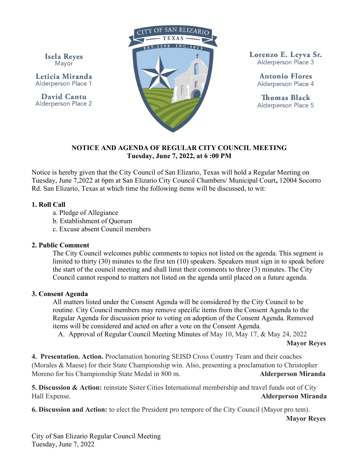**Isela Reyes** Mayor

Leticia Miranda Alderperson Place 1

David Cantu Alderperson Place 2



Lorenzo E. Levva Sr. Alderperson Place 3

> Antonio Flores Alderperson Place 4

> **Thomas Black** Alderperson Place 5

#### NOTICE AND AGENDA OF REGULAR CITY COUNCIL MEETING Tuesday, June 7, 2022, at 6 :00 PM

Notice is hereby given that the City Council of San Elizario, Texas will hold a Regular Meeting on Tuesday, June 7,2022 at 6pm at San Elizario City Council Chambers/ Municipal Court, 12004 Socorro Rd. San Elizario, Texas at which time the following items will be discussed, to wit:

#### 1. Roll Call

- a. Pledge of Allegiance
- b. Establishment of Quorum
- c. Excuse absent Council members

# 2. Public Comment

The City Council welcomes public comments to topics not listed on the agenda. This segment is limited to thirty (30) minutes to the first ten (10) speakers. Speakers must sign in to speak before the start of the council meeting and shall limit their comments to three (3) minutes. The City Council cannot respond to matters not listed on the agenda until placed on a future agenda.

# 3. Consent Agenda

All matters listed under the Consent Agenda will be considered by the City Council to be routine. City Council members may remove specific items from the Consent Agenda to the Regular Agenda for discussion prior to voting on adoption of the Consent Agenda. Removed items will be considered and acted on after a vote on the Consent Agenda.

A. Approval of Regular Council Meeting Minutes of May 10, May 17, & May 24, 2022

Mayor Reyes

4. Presentation. Action. Proclamation honoring SEISD Cross Country Team and their coaches (Morales & Maese) for their State Championship win. Also, presenting a proclamation to Christopher Moreno for his Championship State Medal in 800 m. Alderperson Miranda

5. Discussion & Action: reinstate Sister Cities International membership and travel funds out of City Hall Expense. Alderperson Miranda and the state of the state of the state of the Alderperson Miranda

6. Discussion and Action: to elect the President pro tempore of the City Council (Mayor pro tem).

Mayor Reyes